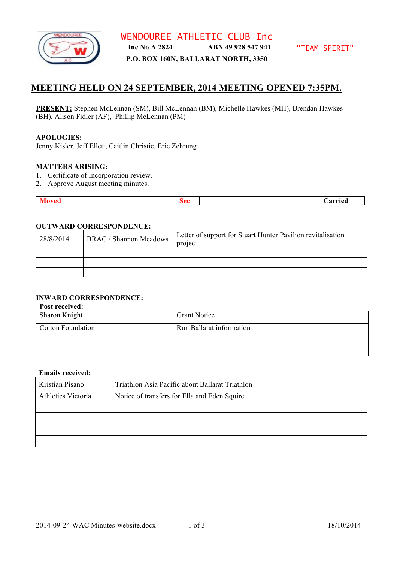

**P.O. BOX 160N, BALLARAT NORTH, 3350**

# **MEETING HELD ON 24 SEPTEMBER, 2014 MEETING OPENED 7:35PM.**

**PRESENT:** Stephen McLennan (SM), Bill McLennan (BM), Michelle Hawkes (MH), Brendan Hawkes (BH), Alison Fidler (AF), Phillip McLennan (PM)

### **APOLOGIES:**

Jenny Kisler, Jeff Ellett, Caitlin Christie, Eric Zehrung

#### **MATTERS ARISING:**

- 1. Certificate of Incorporation review.
- 2. Approve August meeting minutes.

| veu<br>71 O V | ×∩∩ —<br>- 10 | <b>Carried</b> |
|---------------|---------------|----------------|

### **OUTWARD CORRESPONDENCE:**

| 28/8/2014 | <b>BRAC / Shannon Meadows</b> | Letter of support for Stuart Hunter Pavilion revitalisation<br>project. |
|-----------|-------------------------------|-------------------------------------------------------------------------|
|           |                               |                                                                         |
|           |                               |                                                                         |
|           |                               |                                                                         |

# **INWARD CORRESPONDENCE:**

## **Post received:**

| Sharon Knight            | <b>Grant Notice</b>      |
|--------------------------|--------------------------|
| <b>Cotton Foundation</b> | Run Ballarat information |
|                          |                          |
|                          |                          |

#### **Emails received:**

| Kristian Pisano    | Triathlon Asia Pacific about Ballarat Triathlon |
|--------------------|-------------------------------------------------|
| Athletics Victoria | Notice of transfers for Ella and Eden Squire    |
|                    |                                                 |
|                    |                                                 |
|                    |                                                 |
|                    |                                                 |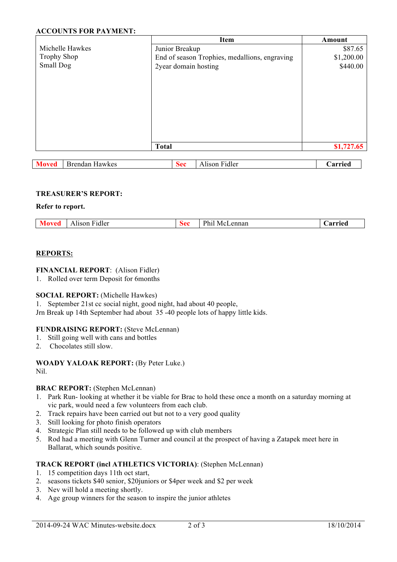# **ACCOUNTS FOR PAYMENT:**

|                                       |                      | <b>Item</b>                                   | Amount     |
|---------------------------------------|----------------------|-----------------------------------------------|------------|
| Michelle Hawkes                       | Junior Breakup       |                                               | \$87.65    |
| <b>Trophy Shop</b>                    |                      | End of season Trophies, medallions, engraving | \$1,200.00 |
| Small Dog                             | 2year domain hosting |                                               | \$440.00   |
|                                       |                      |                                               |            |
|                                       |                      |                                               |            |
|                                       |                      |                                               |            |
|                                       |                      |                                               |            |
|                                       |                      |                                               |            |
|                                       |                      |                                               |            |
|                                       |                      |                                               |            |
|                                       |                      |                                               |            |
|                                       | <b>Total</b>         |                                               | \$1,727.65 |
|                                       |                      |                                               |            |
| <b>Brendan Hawkes</b><br><b>Moved</b> | <b>Sec</b>           | Alison Fidler                                 | Carried    |

#### **TREASURER'S REPORT:**

### **Refer to report.**

| 'idlei<br>lisor | רh.<br>$\Delta$<br>$\alpha$ n n $\alpha$<br>нα. | arriad |
|-----------------|-------------------------------------------------|--------|
|                 |                                                 |        |

### **REPORTS:**

### **FINANCIAL REPORT**: (Alison Fidler)

1. Rolled over term Deposit for 6months

#### **SOCIAL REPORT:** (Michelle Hawkes)

1. September 21st cc social night, good night, had about 40 people,

Jrn Break up 14th September had about 35 -40 people lots of happy little kids.

#### **FUNDRAISING REPORT:** (Steve McLennan)

- 1. Still going well with cans and bottles
- 2. Chocolates still slow.

## **WOADY YALOAK REPORT:** (By Peter Luke.)

Nil.

# **BRAC REPORT:** (Stephen McLennan)

- 1. Park Run- looking at whether it be viable for Brac to hold these once a month on a saturday morning at vic park, would need a few volunteers from each club.
- 2. Track repairs have been carried out but not to a very good quality
- 3. Still looking for photo finish operators
- 4. Strategic Plan still needs to be followed up with club members
- 5. Rod had a meeting with Glenn Turner and council at the prospect of having a Zatapek meet here in Ballarat, which sounds positive.

# **TRACK REPORT (incl ATHLETICS VICTORIA)**: (Stephen McLennan)

- 1. 15 competition days 11th oct start,
- 2. seasons tickets \$40 senior, \$20juniors or \$4per week and \$2 per week
- 3. Nev will hold a meeting shortly.
- 4. Age group winners for the season to inspire the junior athletes